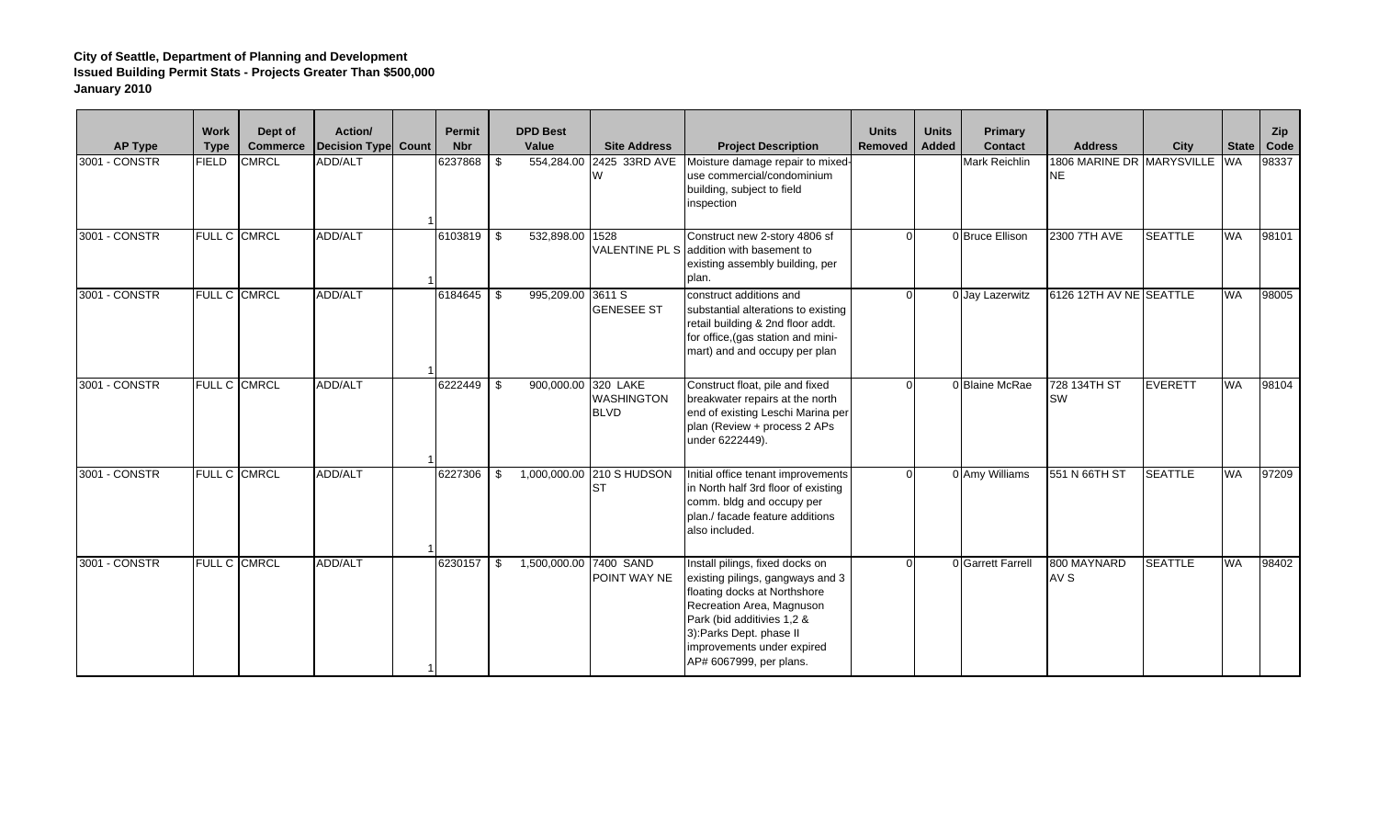| <b>AP Type</b> | <b>Work</b><br><b>Type</b> | Dept of<br><b>Commerce</b> | Action/<br>Decision Type Count | Permit<br><b>Nbr</b> | <b>DPD Best</b><br>Value | <b>Site Address</b>                          | <b>Project Description</b>                                                                                                                                                                                                                         | <b>Units</b><br><b>Removed</b> | <b>Units</b><br>Added | Primary<br><b>Contact</b> | <b>Address</b>                             | City           | <b>State</b> | Zip<br>Code |
|----------------|----------------------------|----------------------------|--------------------------------|----------------------|--------------------------|----------------------------------------------|----------------------------------------------------------------------------------------------------------------------------------------------------------------------------------------------------------------------------------------------------|--------------------------------|-----------------------|---------------------------|--------------------------------------------|----------------|--------------|-------------|
| 3001 - CONSTR  | <b>FIELD</b>               | <b>CMRCL</b>               | ADD/ALT                        | 6237868              | \$<br>554,284.00         | 2425 33RD AVE<br>W                           | Moisture damage repair to mixed-<br>use commercial/condominium<br>building, subject to field<br>inspection                                                                                                                                         |                                |                       | Mark Reichlin             | 1806 MARINE DR MARYSVILLE WA<br><b>INE</b> |                |              | 98337       |
| 3001 - CONSTR  |                            | FULL C CMRCL               | ADD/ALT                        | 6103819              | \$<br>532,898.00         | 1528<br><b>VALENTINE PL S</b>                | Construct new 2-story 4806 sf<br>addition with basement to<br>existing assembly building, per<br>plan.                                                                                                                                             |                                |                       | 0 Bruce Ellison           | 2300 7TH AVE                               | <b>SEATTLE</b> | <b>WA</b>    | 98101       |
| 3001 - CONSTR  |                            | FULL C CMRCL               | ADD/ALT                        | 6184645              | \$<br>995,209.00         | 3611 S<br><b>GENESEE ST</b>                  | construct additions and<br>substantial alterations to existing<br>retail building & 2nd floor addt.<br>for office, (gas station and mini-<br>mart) and and occupy per plan                                                                         |                                |                       | 0 Jay Lazerwitz           | 6126 12TH AV NE SEATTLE                    |                | <b>WA</b>    | 98005       |
| 3001 - CONSTR  |                            | FULL C CMRCL               | ADD/ALT                        | 6222449              | \$<br>900,000.00         | 320 LAKE<br><b>WASHINGTON</b><br><b>BLVD</b> | Construct float, pile and fixed<br>breakwater repairs at the north<br>end of existing Leschi Marina per<br>plan (Review + process 2 APs<br>under 6222449).                                                                                         |                                |                       | 0 Blaine McRae            | 728 134TH ST<br><b>SW</b>                  | <b>EVERETT</b> | <b>WA</b>    | 98104       |
| 3001 - CONSTR  |                            | <b>FULL C CMRCL</b>        | ADD/ALT                        | 6227306              | \$                       | 1,000,000.00 210 S HUDSON<br><b>ST</b>       | Initial office tenant improvements<br>in North half 3rd floor of existing<br>comm. bldg and occupy per<br>plan./ facade feature additions<br>also included.                                                                                        |                                |                       | 0 Amy Williams            | 551 N 66TH ST                              | <b>SEATTLE</b> | <b>WA</b>    | 97209       |
| 3001 - CONSTR  |                            | FULL C CMRCL               | ADD/ALT                        | 6230157              | \$<br>1,500,000.00       | 7400 SAND<br>POINT WAY NE                    | Install pilings, fixed docks on<br>existing pilings, gangways and 3<br>floating docks at Northshore<br>Recreation Area, Magnuson<br>Park (bid additivies 1,2 &<br>3):Parks Dept. phase II<br>improvements under expired<br>AP# 6067999, per plans. |                                |                       | 0 Garrett Farrell         | 800 MAYNARD<br>AV S                        | <b>SEATTLE</b> | WA           | 98402       |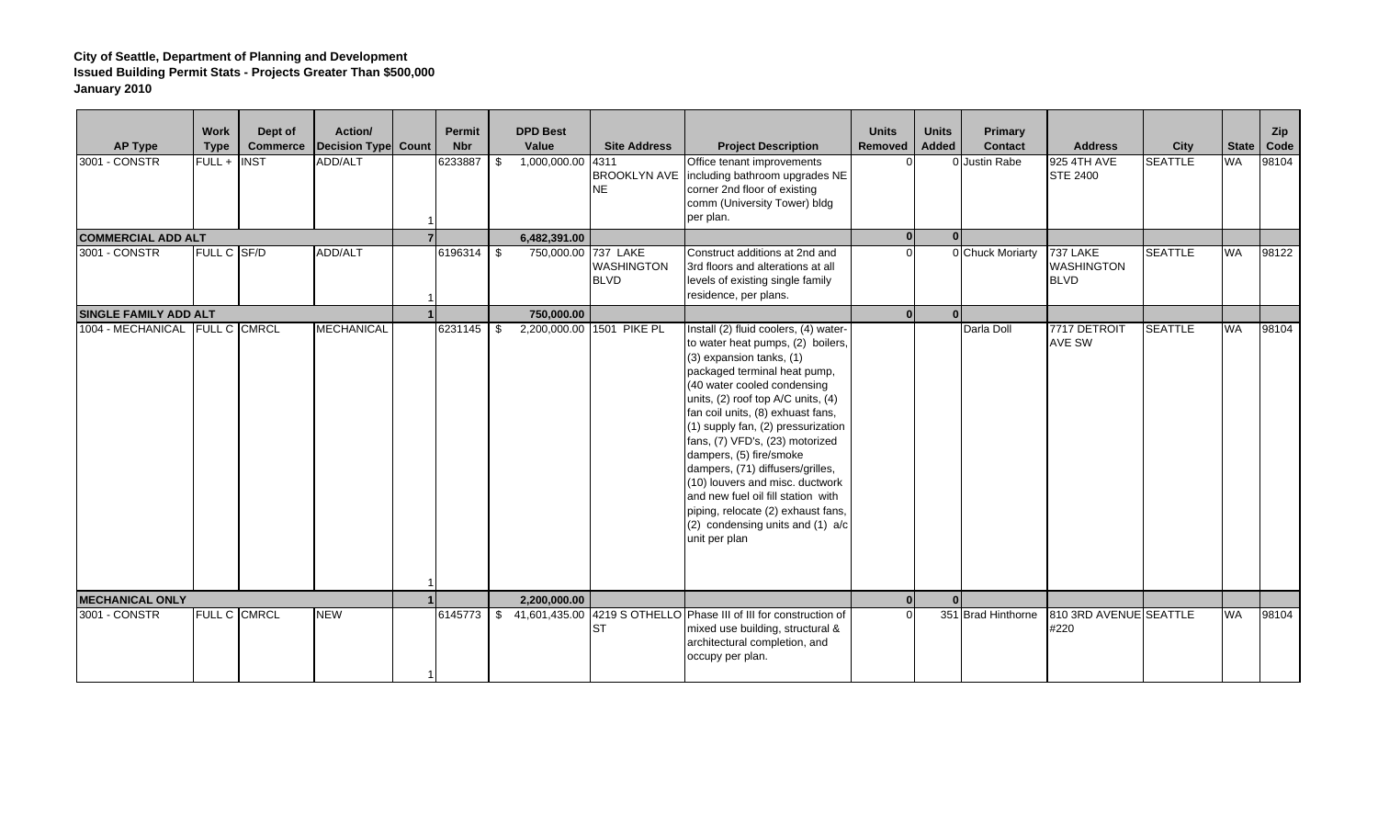| <b>AP Type</b><br>3001 CONSTR<br><b>COMMERCIAL ADD ALT</b><br>3001 - CONSTR | <b>Work</b><br><b>Type</b><br>FULL + INST<br>FULL C SF/D | Dept of<br><b>Commerce</b> | Action/<br>Decision Type Count<br>ADD/ALT<br>ADD/ALT | <b>Permit</b><br><b>Nbr</b><br>6233887<br>6196314 | <b>DPD Best</b><br>Value<br>\$<br>1,000,000.00<br>6,482,391.00<br>\$<br>750,000.00 | <b>Site Address</b><br>4311<br><b>BROOKLYN AVE</b><br><b>NE</b><br><b>737 LAKE</b><br><b>WASHINGTON</b> | <b>Project Description</b><br>Office tenant improvements<br>including bathroom upgrades NE<br>corner 2nd floor of existing<br>comm (University Tower) bldg<br>per plan.<br>Construct additions at 2nd and<br>3rd floors and alterations at all                                                                                                                                                                                                                                                                                                               | <b>Units</b><br>Removed | <b>Units</b><br>Added<br>$\Omega$ | Primary<br><b>Contact</b><br>0 Justin Rabe<br>0 Chuck Moriarty | <b>Address</b><br>925 4TH AVE<br><b>STE 2400</b><br><b>737 LAKE</b><br><b>WASHINGTON</b> | City<br><b>SEATTLE</b><br><b>SEATTLE</b> | State<br><b>WA</b><br><b>WA</b> | Zip<br>Code<br>98104<br>98122 |
|-----------------------------------------------------------------------------|----------------------------------------------------------|----------------------------|------------------------------------------------------|---------------------------------------------------|------------------------------------------------------------------------------------|---------------------------------------------------------------------------------------------------------|--------------------------------------------------------------------------------------------------------------------------------------------------------------------------------------------------------------------------------------------------------------------------------------------------------------------------------------------------------------------------------------------------------------------------------------------------------------------------------------------------------------------------------------------------------------|-------------------------|-----------------------------------|----------------------------------------------------------------|------------------------------------------------------------------------------------------|------------------------------------------|---------------------------------|-------------------------------|
|                                                                             |                                                          |                            |                                                      |                                                   |                                                                                    | <b>BLVD</b>                                                                                             | levels of existing single family<br>residence, per plans.                                                                                                                                                                                                                                                                                                                                                                                                                                                                                                    |                         |                                   |                                                                | <b>BLVD</b>                                                                              |                                          |                                 |                               |
| <b>SINGLE FAMILY ADD ALT</b><br>1004 - MECHANICAL FULL C CMRCL              |                                                          |                            | <b>MECHANICAL</b>                                    | 6231145                                           | 750.000.00<br>2,200,000.00<br>\$                                                   | 1501 PIKE PL                                                                                            | Install (2) fluid coolers, (4) water-<br>to water heat pumps, (2) boilers,<br>(3) expansion tanks, (1)<br>packaged terminal heat pump,<br>(40 water cooled condensing<br>units, (2) roof top A/C units, (4)<br>fan coil units, (8) exhuast fans,<br>(1) supply fan, (2) pressurization<br>fans, (7) VFD's, (23) motorized<br>dampers, (5) fire/smoke<br>dampers, (71) diffusers/grilles,<br>(10) louvers and misc. ductwork<br>and new fuel oil fill station with<br>piping, relocate (2) exhaust fans,<br>(2) condensing units and (1) a/c<br>unit per plan |                         | $\Omega$                          | Darla Doll                                                     | 7717 DETROIT<br><b>AVE SW</b>                                                            | <b>SEATTLE</b>                           | <b>WA</b>                       | 98104                         |
| <b>MECHANICAL ONLY</b><br>3001 - CONSTR                                     |                                                          | <b>FULL C CMRCL</b>        | <b>NEW</b>                                           | 6145773                                           | 2,200,000.00<br>\$                                                                 | <b>ST</b>                                                                                               | 41,601,435.00 4219 S OTHELLO Phase III of III for construction of<br>mixed use building, structural &<br>architectural completion, and<br>occupy per plan.                                                                                                                                                                                                                                                                                                                                                                                                   |                         |                                   | 351 Brad Hinthorne                                             | 810 3RD AVENUE SEATTLE<br>#220                                                           |                                          | <b>WA</b>                       | 98104                         |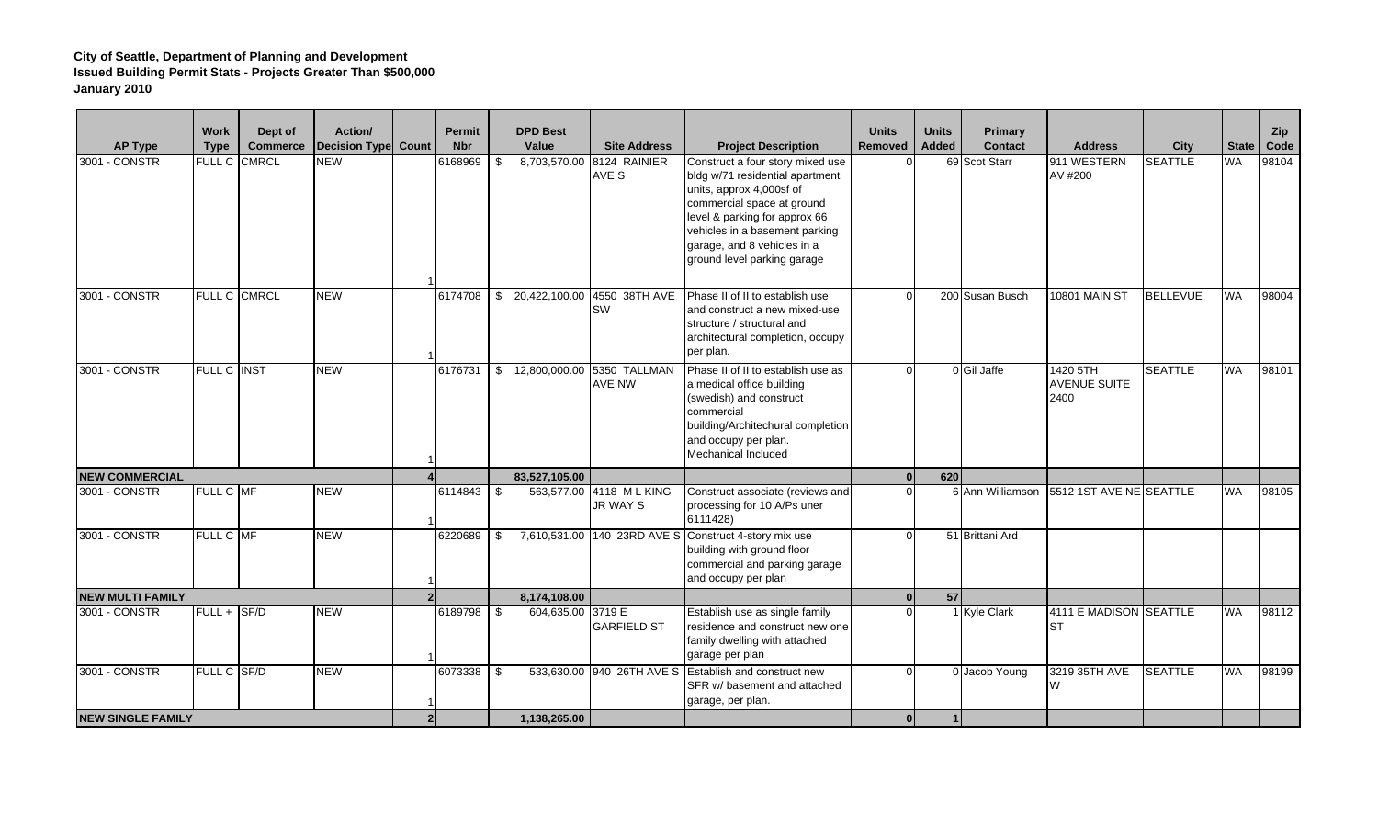| <b>AP Type</b>           | <b>Work</b><br><b>Type</b> | Dept of<br><b>Commerce</b> | Action/<br><b>Decision Type Count</b> | <b>Permit</b><br><b>Nbr</b> |      | <b>DPD Best</b><br>Value | <b>Site Address</b>                            | <b>Project Description</b>                                                                                                                                                                                                                                     | <b>Units</b><br><b>Removed</b> | <b>Units</b><br><b>Added</b> | Primary<br><b>Contact</b> | <b>Address</b>                          | City            | <b>State</b> | Zip<br>Code |
|--------------------------|----------------------------|----------------------------|---------------------------------------|-----------------------------|------|--------------------------|------------------------------------------------|----------------------------------------------------------------------------------------------------------------------------------------------------------------------------------------------------------------------------------------------------------------|--------------------------------|------------------------------|---------------------------|-----------------------------------------|-----------------|--------------|-------------|
| 3001 - CONSTR            |                            | FULL C CMRCL               | <b>NEW</b>                            | 6168969                     | \$   |                          | 8,703,570.00 8124 RAINIER<br>AVE S             | Construct a four story mixed use<br>bldg w/71 residential apartment<br>units, approx 4,000sf of<br>commercial space at ground<br>level & parking for approx 66<br>vehicles in a basement parking<br>garage, and 8 vehicles in a<br>ground level parking garage |                                |                              | 69 Scot Starr             | 911 WESTERN<br>AV #200                  | <b>SEATTLE</b>  | WA           | 98104       |
| 3001 - CONSTR            |                            | <b>FULL C CMRCL</b>        | <b>NEW</b>                            | 6174708                     |      | \$20,422,100.00          | 4550 38TH AVE<br><b>SW</b>                     | Phase II of II to establish use<br>and construct a new mixed-use<br>structure / structural and<br>architectural completion, occupy<br>per plan.                                                                                                                |                                |                              | 200 Susan Busch           | <b>10801 MAIN ST</b>                    | <b>BELLEVUE</b> | WA           | 98004       |
| 3001 - CONSTR            | <b>FULL C INST</b>         |                            | <b>NEW</b>                            | 6176731                     |      |                          | \$ 12,800,000.00 5350 TALLMAN<br><b>AVE NW</b> | Phase II of II to establish use as<br>a medical office building<br>(swedish) and construct<br>commercial<br>building/Architechural completion<br>and occupy per plan.<br>Mechanical Included                                                                   |                                |                              | 0 Gil Jaffe               | 1420 5TH<br><b>AVENUE SUITE</b><br>2400 | <b>SEATTLE</b>  | WA           | 98101       |
| <b>NEW COMMERCIAL</b>    |                            |                            |                                       |                             |      | 83,527,105.00            |                                                |                                                                                                                                                                                                                                                                |                                | 620                          |                           |                                         |                 |              |             |
| 3001 - CONSTR            | FULL C MF                  |                            | <b>NEW</b>                            | 6114843                     | - \$ |                          | 563,577.00 4118 ML KING<br>JR WAY S            | Construct associate (reviews and<br>processing for 10 A/Ps uner<br>6111428)                                                                                                                                                                                    |                                |                              | 6 Ann Williamson          | 5512 1ST AVE NE SEATTLE                 |                 | <b>WA</b>    | 98105       |
| 3001 - CONSTR            | FULL C MF                  |                            | <b>NEW</b>                            | 6220689                     | \$   |                          |                                                | 7,610,531.00 140 23RD AVE S Construct 4-story mix use<br>building with ground floor<br>commercial and parking garage<br>and occupy per plan                                                                                                                    |                                |                              | 51 Brittani Ard           |                                         |                 |              |             |
| <b>NEW MULTI FAMILY</b>  |                            |                            |                                       |                             |      | 8,174,108.00             |                                                |                                                                                                                                                                                                                                                                |                                | 57                           |                           |                                         |                 |              |             |
| 3001 - CONSTR            | FULL + SF/D                |                            | <b>NEW</b>                            | 6189798 \$                  |      | 604,635.00 3719 E        | <b>GARFIELD ST</b>                             | Establish use as single family<br>residence and construct new one<br>family dwelling with attached<br>garage per plan                                                                                                                                          |                                |                              | 1 Kyle Clark              | 4111 E MADISON SEATTLE<br>IST           |                 | <b>WA</b>    | 98112       |
| 3001 - CONSTR            | FULL C SF/D                |                            | <b>NEW</b>                            | 6073338                     | l Si |                          | 533,630.00 940 26TH AVE S                      | Establish and construct new<br>SFR w/ basement and attached<br>garage, per plan.                                                                                                                                                                               |                                |                              | 0 Jacob Young             | 3219 35TH AVE<br>W                      | <b>SEATTLE</b>  | <b>WA</b>    | 98199       |
| <b>NEW SINGLE FAMILY</b> |                            |                            |                                       |                             |      | 1.138.265.00             |                                                |                                                                                                                                                                                                                                                                |                                |                              |                           |                                         |                 |              |             |